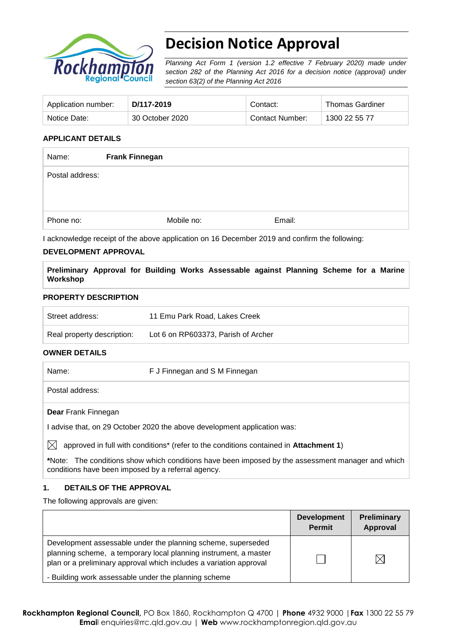

# **Decision Notice Approval**

*Planning Act Form 1 (version 1.2 effective 7 February 2020) made under section 282 of the Planning Act 2016 for a decision notice (approval) under section 63(2) of the Planning Act 2016*

| Application number: | D/117-2019      | Contact:        | <b>Thomas Gardiner</b> |
|---------------------|-----------------|-----------------|------------------------|
| Notice Date:        | 30 October 2020 | Contact Number: | 1300 22 55 77          |

## **APPLICANT DETAILS**

| Name:           | <b>Frank Finnegan</b> |        |  |
|-----------------|-----------------------|--------|--|
| Postal address: |                       |        |  |
|                 |                       |        |  |
| Phone no:       | Mobile no:            | Email: |  |

I acknowledge receipt of the above application on 16 December 2019 and confirm the following:

#### **DEVELOPMENT APPROVAL**

**Preliminary Approval for Building Works Assessable against Planning Scheme for a Marine Workshop**

#### **PROPERTY DESCRIPTION**

| Street address:            | 11 Emu Park Road, Lakes Creek       |
|----------------------------|-------------------------------------|
| Real property description: | Lot 6 on RP603373, Parish of Archer |

### **OWNER DETAILS**

Name: F J Finnegan and S M Finnegan

Postal address:

**Dear** Frank Finnegan

I advise that, on 29 October 2020 the above development application was:

 $\boxtimes$  approved in full with conditions<sup>\*</sup> (refer to the conditions contained in **Attachment 1**)

**\***Note:The conditions show which conditions have been imposed by the assessment manager and which conditions have been imposed by a referral agency.

### **1. DETAILS OF THE APPROVAL**

The following approvals are given:

|                                                                                                                                                                                                        | <b>Development</b><br><b>Permit</b> | <b>Preliminary</b><br>Approval |
|--------------------------------------------------------------------------------------------------------------------------------------------------------------------------------------------------------|-------------------------------------|--------------------------------|
| Development assessable under the planning scheme, superseded<br>planning scheme, a temporary local planning instrument, a master<br>plan or a preliminary approval which includes a variation approval |                                     | $\bowtie$                      |
| - Building work assessable under the planning scheme                                                                                                                                                   |                                     |                                |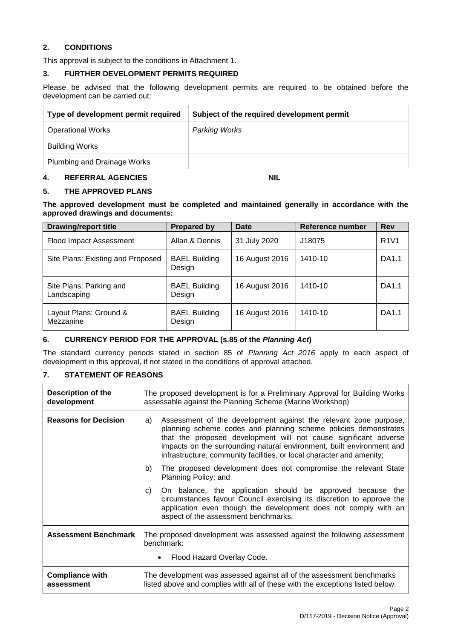## **2. CONDITIONS**

This approval is subject to the conditions in Attachment 1.

#### **3. FURTHER DEVELOPMENT PERMITS REQUIRED**

Please be advised that the following development permits are required to be obtained before the development can be carried out:

| Type of development permit required | Subject of the required development permit |
|-------------------------------------|--------------------------------------------|
| <b>Operational Works</b>            | <b>Parking Works</b>                       |
| Building Works                      |                                            |
| Plumbing and Drainage Works         |                                            |

### **4. REFERRAL AGENCIES NIL**

#### **5. THE APPROVED PLANS**

**The approved development must be completed and maintained generally in accordance with the approved drawings and documents:**

| <b>Drawing/report title</b>            | Prepared by                    | <b>Date</b>    | Reference number | <b>Rev</b>  |
|----------------------------------------|--------------------------------|----------------|------------------|-------------|
| Flood Impact Assessment                | Allan & Dennis                 | 31 July 2020   | J18075           | <b>R1V1</b> |
| Site Plans: Existing and Proposed      | <b>BAEL Building</b><br>Design | 16 August 2016 | 1410-10          | DA1.1       |
| Site Plans: Parking and<br>Landscaping | <b>BAEL Building</b><br>Design | 16 August 2016 | 1410-10          | DA1.1       |
| Layout Plans: Ground &<br>Mezzanine    | <b>BAEL Building</b><br>Design | 16 August 2016 | 1410-10          | DA1.1       |

### **6. CURRENCY PERIOD FOR THE APPROVAL (s.85 of the** *Planning Act***)**

The standard currency periods stated in section 85 of *Planning Act 2016* apply to each aspect of development in this approval, if not stated in the conditions of approval attached.

### **7. STATEMENT OF REASONS**

| <b>Description of the</b><br>development | The proposed development is for a Preliminary Approval for Building Works<br>assessable against the Planning Scheme (Marine Workshop)                                                                                                                                                                                                                           |  |
|------------------------------------------|-----------------------------------------------------------------------------------------------------------------------------------------------------------------------------------------------------------------------------------------------------------------------------------------------------------------------------------------------------------------|--|
| <b>Reasons for Decision</b>              | Assessment of the development against the relevant zone purpose,<br>a)<br>planning scheme codes and planning scheme policies demonstrates<br>that the proposed development will not cause significant adverse<br>impacts on the surrounding natural environment, built environment and<br>infrastructure, community facilities, or local character and amenity; |  |
|                                          | The proposed development does not compromise the relevant State<br>b)<br>Planning Policy; and                                                                                                                                                                                                                                                                   |  |
|                                          | On balance, the application should be approved because the<br>C)<br>circumstances favour Council exercising its discretion to approve the<br>application even though the development does not comply with an<br>aspect of the assessment benchmarks.                                                                                                            |  |
| <b>Assessment Benchmark</b>              | The proposed development was assessed against the following assessment<br>benchmark:                                                                                                                                                                                                                                                                            |  |
|                                          | Flood Hazard Overlay Code.                                                                                                                                                                                                                                                                                                                                      |  |
| <b>Compliance with</b><br>assessment     | The development was assessed against all of the assessment benchmarks<br>listed above and complies with all of these with the exceptions listed below.                                                                                                                                                                                                          |  |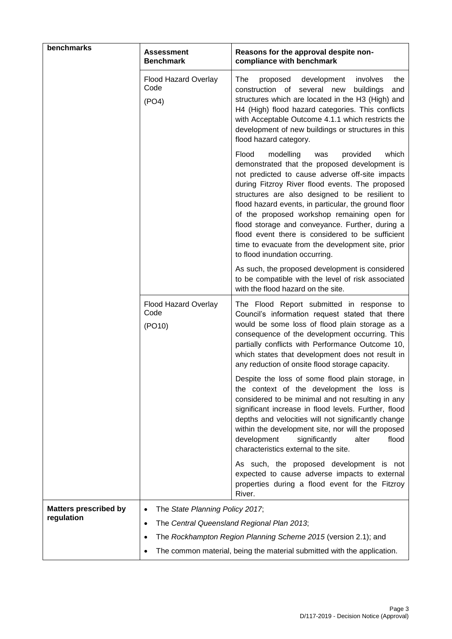| benchmarks                   | <b>Assessment</b><br><b>Benchmark</b>  | Reasons for the approval despite non-<br>compliance with benchmark                                                                                                                                                                                                                                                                                                                                                                                                                                                                                            |  |
|------------------------------|----------------------------------------|---------------------------------------------------------------------------------------------------------------------------------------------------------------------------------------------------------------------------------------------------------------------------------------------------------------------------------------------------------------------------------------------------------------------------------------------------------------------------------------------------------------------------------------------------------------|--|
|                              | Flood Hazard Overlay<br>Code<br>(PO4)  | The<br>proposed development<br>involves<br>the<br>construction of several new<br>buildings<br>and<br>structures which are located in the H3 (High) and<br>H4 (High) flood hazard categories. This conflicts<br>with Acceptable Outcome 4.1.1 which restricts the<br>development of new buildings or structures in this<br>flood hazard category.                                                                                                                                                                                                              |  |
|                              |                                        | Flood<br>which<br>modelling<br>provided<br>was<br>demonstrated that the proposed development is<br>not predicted to cause adverse off-site impacts<br>during Fitzroy River flood events. The proposed<br>structures are also designed to be resilient to<br>flood hazard events, in particular, the ground floor<br>of the proposed workshop remaining open for<br>flood storage and conveyance. Further, during a<br>flood event there is considered to be sufficient<br>time to evacuate from the development site, prior<br>to flood inundation occurring. |  |
|                              |                                        | As such, the proposed development is considered<br>to be compatible with the level of risk associated<br>with the flood hazard on the site.                                                                                                                                                                                                                                                                                                                                                                                                                   |  |
|                              | Flood Hazard Overlay<br>Code<br>(PO10) | The Flood Report submitted in response to<br>Council's information request stated that there<br>would be some loss of flood plain storage as a<br>consequence of the development occurring. This<br>partially conflicts with Performance Outcome 10,<br>which states that development does not result in<br>any reduction of onsite flood storage capacity.                                                                                                                                                                                                   |  |
|                              |                                        | Despite the loss of some flood plain storage, in<br>the context of the development the loss is<br>considered to be minimal and not resulting in any<br>significant increase in flood levels. Further, flood<br>depths and velocities will not significantly change<br>within the development site, nor will the proposed<br>development<br>significantly<br>alter<br>flood<br>characteristics external to the site.                                                                                                                                           |  |
|                              |                                        | As such, the proposed development is not<br>expected to cause adverse impacts to external<br>properties during a flood event for the Fitzroy<br>River.                                                                                                                                                                                                                                                                                                                                                                                                        |  |
| <b>Matters prescribed by</b> | The State Planning Policy 2017;        |                                                                                                                                                                                                                                                                                                                                                                                                                                                                                                                                                               |  |
| regulation                   | $\bullet$                              | The Central Queensland Regional Plan 2013;                                                                                                                                                                                                                                                                                                                                                                                                                                                                                                                    |  |
|                              |                                        | The Rockhampton Region Planning Scheme 2015 (version 2.1); and                                                                                                                                                                                                                                                                                                                                                                                                                                                                                                |  |
|                              |                                        | The common material, being the material submitted with the application.                                                                                                                                                                                                                                                                                                                                                                                                                                                                                       |  |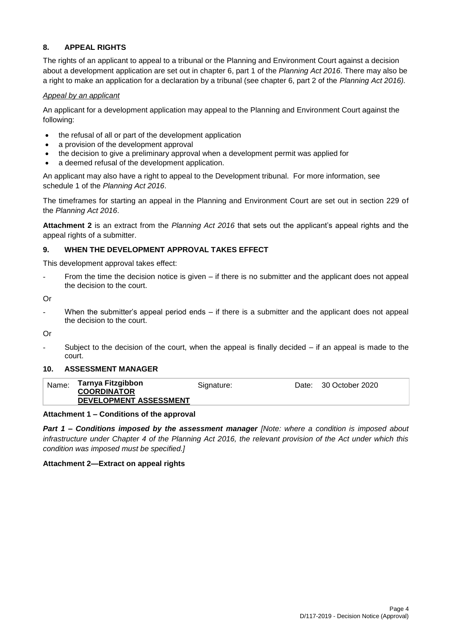## **8. APPEAL RIGHTS**

The rights of an applicant to appeal to a tribunal or the Planning and Environment Court against a decision about a development application are set out in chapter 6, part 1 of the *Planning Act 2016*. There may also be a right to make an application for a declaration by a tribunal (see chapter 6, part 2 of the *Planning Act 2016).*

### *Appeal by an applicant*

An applicant for a development application may appeal to the Planning and Environment Court against the following:

- the refusal of all or part of the development application
- a provision of the development approval
- the decision to give a preliminary approval when a development permit was applied for
- a deemed refusal of the development application.

An applicant may also have a right to appeal to the Development tribunal. For more information, see schedule 1 of the *Planning Act 2016*.

The timeframes for starting an appeal in the Planning and Environment Court are set out in section 229 of the *Planning Act 2016*.

**Attachment 2** is an extract from the *Planning Act 2016* that sets out the applicant's appeal rights and the appeal rights of a submitter.

## **9. WHEN THE DEVELOPMENT APPROVAL TAKES EFFECT**

This development approval takes effect:

From the time the decision notice is given  $-$  if there is no submitter and the applicant does not appeal the decision to the court.

Or

When the submitter's appeal period ends  $-$  if there is a submitter and the applicant does not appeal the decision to the court.

Or

Subject to the decision of the court, when the appeal is finally decided  $-$  if an appeal is made to the court.

### **10. ASSESSMENT MANAGER**

| Name: | Tarnya Fitzgibbon<br><b>COORDINATOR</b> | Signature: | Date: 30 October 2020 |
|-------|-----------------------------------------|------------|-----------------------|
|       | <b>DEVELOPMENT ASSESSMENT</b>           |            |                       |

### **Attachment 1 – Conditions of the approval**

*Part 1* **–** *Conditions imposed by the assessment manager [Note: where a condition is imposed about infrastructure under Chapter 4 of the Planning Act 2016, the relevant provision of the Act under which this condition was imposed must be specified.]*

### **Attachment 2—Extract on appeal rights**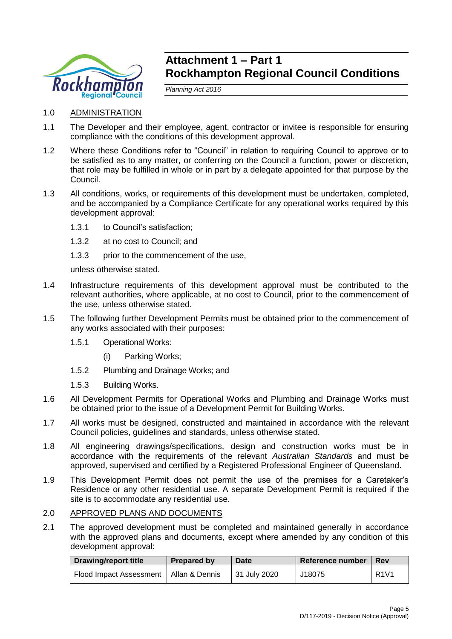

# **Attachment 1 – Part 1 Rockhampton Regional Council Conditions**

*Planning Act 2016*

- 1.0 ADMINISTRATION
- 1.1 The Developer and their employee, agent, contractor or invitee is responsible for ensuring compliance with the conditions of this development approval.
- 1.2 Where these Conditions refer to "Council" in relation to requiring Council to approve or to be satisfied as to any matter, or conferring on the Council a function, power or discretion, that role may be fulfilled in whole or in part by a delegate appointed for that purpose by the Council.
- 1.3 All conditions, works, or requirements of this development must be undertaken, completed, and be accompanied by a Compliance Certificate for any operational works required by this development approval:
	- 1.3.1 to Council's satisfaction;
	- 1.3.2 at no cost to Council; and
	- 1.3.3 prior to the commencement of the use,

unless otherwise stated.

- 1.4 Infrastructure requirements of this development approval must be contributed to the relevant authorities, where applicable, at no cost to Council, prior to the commencement of the use, unless otherwise stated.
- 1.5 The following further Development Permits must be obtained prior to the commencement of any works associated with their purposes:
	- 1.5.1 Operational Works:
		- (i) Parking Works;
	- 1.5.2 Plumbing and Drainage Works; and
	- 1.5.3 Building Works.
- 1.6 All Development Permits for Operational Works and Plumbing and Drainage Works must be obtained prior to the issue of a Development Permit for Building Works.
- 1.7 All works must be designed, constructed and maintained in accordance with the relevant Council policies, guidelines and standards, unless otherwise stated.
- 1.8 All engineering drawings/specifications, design and construction works must be in accordance with the requirements of the relevant *Australian Standards* and must be approved, supervised and certified by a Registered Professional Engineer of Queensland.
- 1.9 This Development Permit does not permit the use of the premises for a Caretaker's Residence or any other residential use. A separate Development Permit is required if the site is to accommodate any residential use.

## 2.0 APPROVED PLANS AND DOCUMENTS

2.1 The approved development must be completed and maintained generally in accordance with the approved plans and documents, except where amended by any condition of this development approval:

| <b>Drawing/report title</b>              | Prepared by | Date         | Reference number | <b>Rev</b>  |
|------------------------------------------|-------------|--------------|------------------|-------------|
| Flood Impact Assessment   Allan & Dennis |             | 31 July 2020 | J18075           | <b>R1V1</b> |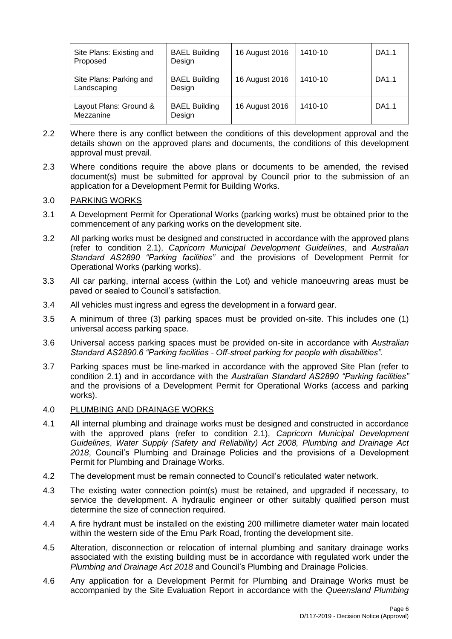| Site Plans: Existing and<br>Proposed   | <b>BAEL Building</b><br>Design | 16 August 2016 | 1410-10 | DA1.1 |
|----------------------------------------|--------------------------------|----------------|---------|-------|
| Site Plans: Parking and<br>Landscaping | <b>BAEL Building</b><br>Design | 16 August 2016 | 1410-10 | DA1.1 |
| Layout Plans: Ground &<br>Mezzanine    | <b>BAEL Building</b><br>Design | 16 August 2016 | 1410-10 | DA1.1 |

- 2.2 Where there is any conflict between the conditions of this development approval and the details shown on the approved plans and documents, the conditions of this development approval must prevail.
- 2.3 Where conditions require the above plans or documents to be amended, the revised document(s) must be submitted for approval by Council prior to the submission of an application for a Development Permit for Building Works.

## 3.0 PARKING WORKS

- 3.1 A Development Permit for Operational Works (parking works) must be obtained prior to the commencement of any parking works on the development site.
- 3.2 All parking works must be designed and constructed in accordance with the approved plans (refer to condition 2.1), *Capricorn Municipal Development Guidelines*, and *Australian Standard AS2890 "Parking facilities"* and the provisions of Development Permit for Operational Works (parking works).
- 3.3 All car parking, internal access (within the Lot) and vehicle manoeuvring areas must be paved or sealed to Council's satisfaction.
- 3.4 All vehicles must ingress and egress the development in a forward gear.
- 3.5 A minimum of three (3) parking spaces must be provided on-site. This includes one (1) universal access parking space.
- 3.6 Universal access parking spaces must be provided on-site in accordance with *Australian Standard AS2890.6 "Parking facilities - Off-street parking for people with disabilities".*
- 3.7 Parking spaces must be line-marked in accordance with the approved Site Plan (refer to condition 2.1) and in accordance with the *Australian Standard AS2890 "Parking facilities"* and the provisions of a Development Permit for Operational Works (access and parking works).

### 4.0 PLUMBING AND DRAINAGE WORKS

- 4.1 All internal plumbing and drainage works must be designed and constructed in accordance with the approved plans (refer to condition 2.1), *Capricorn Municipal Development Guidelines*, *Water Supply (Safety and Reliability) Act 2008, Plumbing and Drainage Act 2018*, Council's Plumbing and Drainage Policies and the provisions of a Development Permit for Plumbing and Drainage Works.
- 4.2 The development must be remain connected to Council's reticulated water network.
- 4.3 The existing water connection point(s) must be retained, and upgraded if necessary, to service the development. A hydraulic engineer or other suitably qualified person must determine the size of connection required.
- 4.4 A fire hydrant must be installed on the existing 200 millimetre diameter water main located within the western side of the Emu Park Road, fronting the development site.
- 4.5 Alteration, disconnection or relocation of internal plumbing and sanitary drainage works associated with the existing building must be in accordance with regulated work under the *Plumbing and Drainage Act 2018* and Council's Plumbing and Drainage Policies.
- 4.6 Any application for a Development Permit for Plumbing and Drainage Works must be accompanied by the Site Evaluation Report in accordance with the *Queensland Plumbing*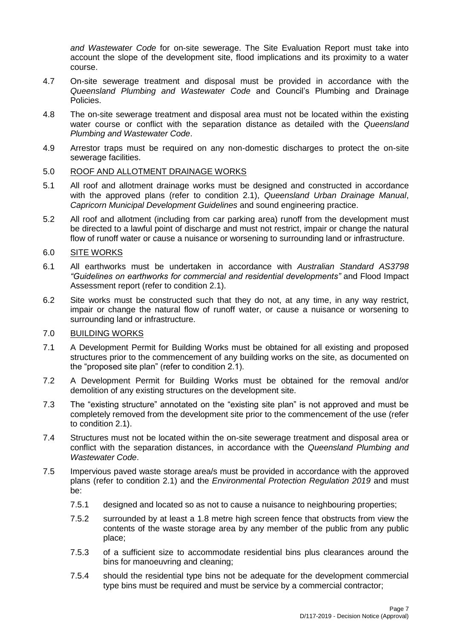*and Wastewater Code* for on-site sewerage. The Site Evaluation Report must take into account the slope of the development site, flood implications and its proximity to a water course.

- 4.7 On-site sewerage treatment and disposal must be provided in accordance with the *Queensland Plumbing and Wastewater Code* and Council's Plumbing and Drainage Policies.
- 4.8 The on-site sewerage treatment and disposal area must not be located within the existing water course or conflict with the separation distance as detailed with the *Queensland Plumbing and Wastewater Code*.
- 4.9 Arrestor traps must be required on any non-domestic discharges to protect the on-site sewerage facilities.

## 5.0 ROOF AND ALLOTMENT DRAINAGE WORKS

- 5.1 All roof and allotment drainage works must be designed and constructed in accordance with the approved plans (refer to condition 2.1), *Queensland Urban Drainage Manual*, *Capricorn Municipal Development Guidelines* and sound engineering practice.
- 5.2 All roof and allotment (including from car parking area) runoff from the development must be directed to a lawful point of discharge and must not restrict, impair or change the natural flow of runoff water or cause a nuisance or worsening to surrounding land or infrastructure.

## 6.0 SITE WORKS

- 6.1 All earthworks must be undertaken in accordance with *Australian Standard AS3798 "Guidelines on earthworks for commercial and residential developments"* and Flood Impact Assessment report (refer to condition 2.1).
- 6.2 Site works must be constructed such that they do not, at any time, in any way restrict, impair or change the natural flow of runoff water, or cause a nuisance or worsening to surrounding land or infrastructure.

## 7.0 BUILDING WORKS

- 7.1 A Development Permit for Building Works must be obtained for all existing and proposed structures prior to the commencement of any building works on the site, as documented on the "proposed site plan" (refer to condition 2.1).
- 7.2 A Development Permit for Building Works must be obtained for the removal and/or demolition of any existing structures on the development site.
- 7.3 The "existing structure" annotated on the "existing site plan" is not approved and must be completely removed from the development site prior to the commencement of the use (refer to condition 2.1).
- 7.4 Structures must not be located within the on-site sewerage treatment and disposal area or conflict with the separation distances, in accordance with the *Queensland Plumbing and Wastewater Code*.
- 7.5 Impervious paved waste storage area/s must be provided in accordance with the approved plans (refer to condition 2.1) and the *Environmental Protection Regulation 2019* and must be:
	- 7.5.1 designed and located so as not to cause a nuisance to neighbouring properties;
	- 7.5.2 surrounded by at least a 1.8 metre high screen fence that obstructs from view the contents of the waste storage area by any member of the public from any public place;
	- 7.5.3 of a sufficient size to accommodate residential bins plus clearances around the bins for manoeuvring and cleaning;
	- 7.5.4 should the residential type bins not be adequate for the development commercial type bins must be required and must be service by a commercial contractor;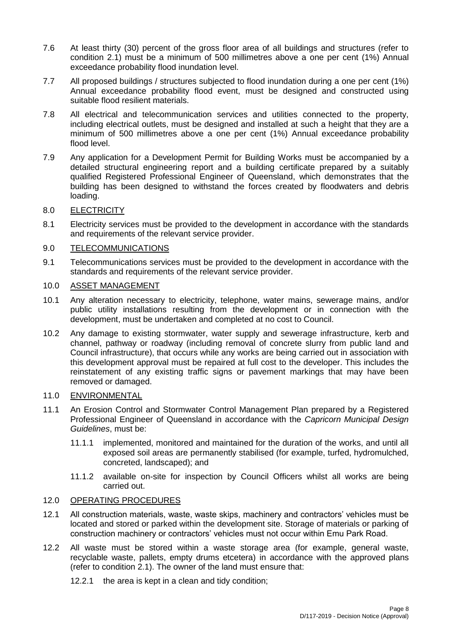- 7.6 At least thirty (30) percent of the gross floor area of all buildings and structures (refer to condition 2.1) must be a minimum of 500 millimetres above a one per cent (1%) Annual exceedance probability flood inundation level.
- 7.7 All proposed buildings / structures subjected to flood inundation during a one per cent (1%) Annual exceedance probability flood event, must be designed and constructed using suitable flood resilient materials.
- 7.8 All electrical and telecommunication services and utilities connected to the property, including electrical outlets, must be designed and installed at such a height that they are a minimum of 500 millimetres above a one per cent (1%) Annual exceedance probability flood level.
- 7.9 Any application for a Development Permit for Building Works must be accompanied by a detailed structural engineering report and a building certificate prepared by a suitably qualified Registered Professional Engineer of Queensland, which demonstrates that the building has been designed to withstand the forces created by floodwaters and debris loading.

## 8.0 ELECTRICITY

8.1 Electricity services must be provided to the development in accordance with the standards and requirements of the relevant service provider.

## 9.0 TELECOMMUNICATIONS

9.1 Telecommunications services must be provided to the development in accordance with the standards and requirements of the relevant service provider.

## 10.0 ASSET MANAGEMENT

- 10.1 Any alteration necessary to electricity, telephone, water mains, sewerage mains, and/or public utility installations resulting from the development or in connection with the development, must be undertaken and completed at no cost to Council.
- 10.2 Any damage to existing stormwater, water supply and sewerage infrastructure, kerb and channel, pathway or roadway (including removal of concrete slurry from public land and Council infrastructure), that occurs while any works are being carried out in association with this development approval must be repaired at full cost to the developer. This includes the reinstatement of any existing traffic signs or pavement markings that may have been removed or damaged.

## 11.0 ENVIRONMENTAL

- 11.1 An Erosion Control and Stormwater Control Management Plan prepared by a Registered Professional Engineer of Queensland in accordance with the *Capricorn Municipal Design Guidelines*, must be:
	- 11.1.1 implemented, monitored and maintained for the duration of the works, and until all exposed soil areas are permanently stabilised (for example, turfed, hydromulched, concreted, landscaped); and
	- 11.1.2 available on-site for inspection by Council Officers whilst all works are being carried out.

## 12.0 OPERATING PROCEDURES

- 12.1 All construction materials, waste, waste skips, machinery and contractors' vehicles must be located and stored or parked within the development site. Storage of materials or parking of construction machinery or contractors' vehicles must not occur within Emu Park Road.
- 12.2 All waste must be stored within a waste storage area (for example, general waste, recyclable waste, pallets, empty drums etcetera) in accordance with the approved plans (refer to condition 2.1). The owner of the land must ensure that:
	- 12.2.1 the area is kept in a clean and tidy condition;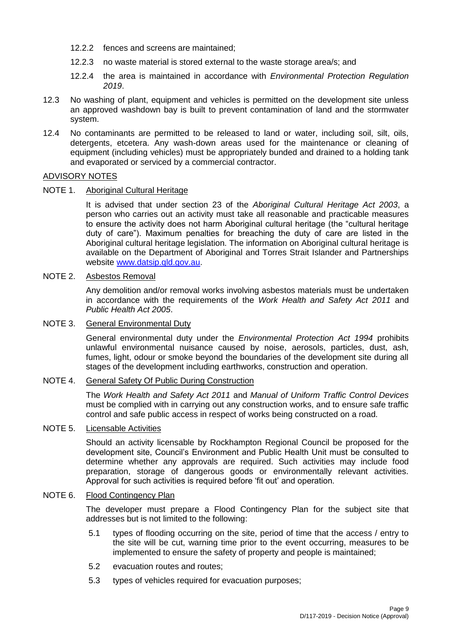- 12.2.2 fences and screens are maintained;
- 12.2.3 no waste material is stored external to the waste storage area/s; and
- 12.2.4 the area is maintained in accordance with *Environmental Protection Regulation 2019*.
- 12.3 No washing of plant, equipment and vehicles is permitted on the development site unless an approved washdown bay is built to prevent contamination of land and the stormwater system.
- 12.4 No contaminants are permitted to be released to land or water, including soil, silt, oils, detergents, etcetera. Any wash-down areas used for the maintenance or cleaning of equipment (including vehicles) must be appropriately bunded and drained to a holding tank and evaporated or serviced by a commercial contractor.

## ADVISORY NOTES

## NOTE 1. Aboriginal Cultural Heritage

It is advised that under section 23 of the *Aboriginal Cultural Heritage Act 2003*, a person who carries out an activity must take all reasonable and practicable measures to ensure the activity does not harm Aboriginal cultural heritage (the "cultural heritage duty of care"). Maximum penalties for breaching the duty of care are listed in the Aboriginal cultural heritage legislation. The information on Aboriginal cultural heritage is available on the Department of Aboriginal and Torres Strait Islander and Partnerships website [www.datsip.qld.gov.au.](http://www.datsip.qld.gov.au/)

## NOTE 2. Asbestos Removal

Any demolition and/or removal works involving asbestos materials must be undertaken in accordance with the requirements of the *Work Health and Safety Act 2011* and *Public Health Act 2005*.

## NOTE 3. General Environmental Duty

General environmental duty under the *Environmental Protection Act 1994* prohibits unlawful environmental nuisance caused by noise, aerosols, particles, dust, ash, fumes, light, odour or smoke beyond the boundaries of the development site during all stages of the development including earthworks, construction and operation.

### NOTE 4. General Safety Of Public During Construction

The *Work Health and Safety Act 2011* and *Manual of Uniform Traffic Control Devices* must be complied with in carrying out any construction works, and to ensure safe traffic control and safe public access in respect of works being constructed on a road.

## NOTE 5. Licensable Activities

Should an activity licensable by Rockhampton Regional Council be proposed for the development site, Council's Environment and Public Health Unit must be consulted to determine whether any approvals are required. Such activities may include food preparation, storage of dangerous goods or environmentally relevant activities. Approval for such activities is required before 'fit out' and operation.

## NOTE 6. Flood Contingency Plan

The developer must prepare a Flood Contingency Plan for the subject site that addresses but is not limited to the following:

- 5.1 types of flooding occurring on the site, period of time that the access / entry to the site will be cut, warning time prior to the event occurring, measures to be implemented to ensure the safety of property and people is maintained;
- 5.2 evacuation routes and routes;
- 5.3 types of vehicles required for evacuation purposes;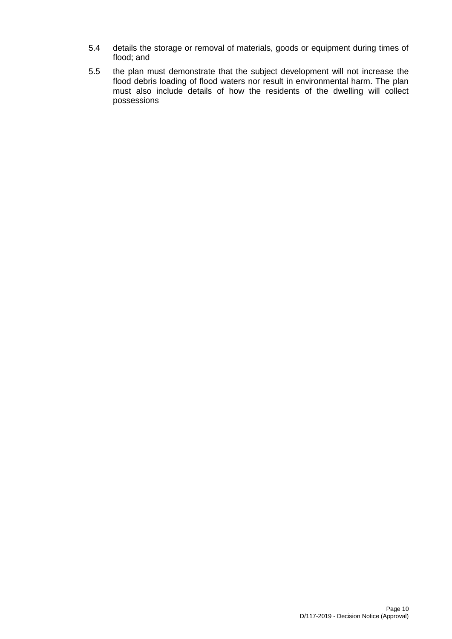- 5.4 details the storage or removal of materials, goods or equipment during times of flood; and
- 5.5 the plan must demonstrate that the subject development will not increase the flood debris loading of flood waters nor result in environmental harm. The plan must also include details of how the residents of the dwelling will collect possessions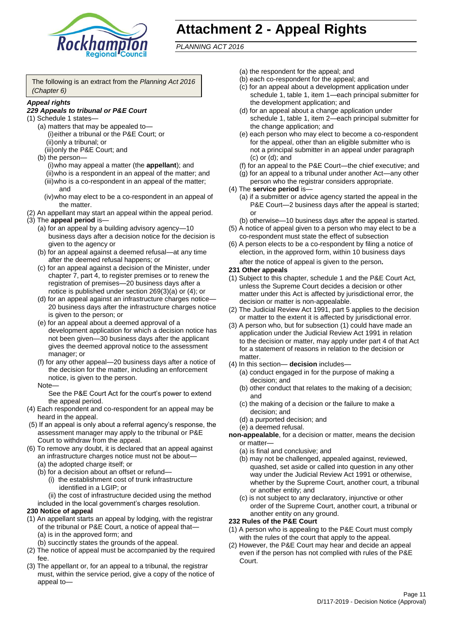

# **Attachment 2 - Appeal Rights**

*PLANNING ACT 2016*

The following is an extract from the *Planning Act 2016 (Chapter 6)*

#### *Appeal rights*

### *229 Appeals to tribunal or P&E Court*

- (1) Schedule 1 states—
	- (a) matters that may be appealed to— (i)either a tribunal or the P&E Court; or (ii)only a tribunal; or
	- (iii)only the P&E Court; and (b) the person—
		- (i)who may appeal a matter (the **appellant**); and (ii)who is a respondent in an appeal of the matter; and (iii)who is a co-respondent in an appeal of the matter; and
		- (iv)who may elect to be a co-respondent in an appeal of the matter.
- (2) An appellant may start an appeal within the appeal period.
- (3) The **appeal period** is—
	- (a) for an appeal by a building advisory agency—10 business days after a decision notice for the decision is given to the agency or
	- (b) for an appeal against a deemed refusal—at any time after the deemed refusal happens; or
	- (c) for an appeal against a decision of the Minister, under chapter 7, part 4, to register premises or to renew the registration of premises—20 business days after a notice is published under section 269(3)(a) or (4); or
	- (d) for an appeal against an infrastructure charges notice— 20 business days after the infrastructure charges notice is given to the person; or
	- (e) for an appeal about a deemed approval of a development application for which a decision notice has not been given—30 business days after the applicant gives the deemed approval notice to the assessment manager; or
	- (f) for any other appeal—20 business days after a notice of the decision for the matter, including an enforcement notice, is given to the person.

#### Note—

See the P&E Court Act for the court's power to extend the appeal period.

- (4) Each respondent and co-respondent for an appeal may be heard in the appeal.
- (5) If an appeal is only about a referral agency's response, the assessment manager may apply to the tribunal or P&E Court to withdraw from the appeal.
- (6) To remove any doubt, it is declared that an appeal against an infrastructure charges notice must not be about—
	- (a) the adopted charge itself; or
	- (b) for a decision about an offset or refund—
		- (i) the establishment cost of trunk infrastructure identified in a LGIP; or
		- (ii) the cost of infrastructure decided using the method
	- included in the local government's charges resolution.

### **230 Notice of appeal**

- (1) An appellant starts an appeal by lodging, with the registrar of the tribunal or P&E Court, a notice of appeal that—
	- (a) is in the approved form; and
	- (b) succinctly states the grounds of the appeal.
- (2) The notice of appeal must be accompanied by the required fee.
- (3) The appellant or, for an appeal to a tribunal, the registrar must, within the service period, give a copy of the notice of appeal to—
- (a) the respondent for the appeal; and
- (b) each co-respondent for the appeal; and
- (c) for an appeal about a development application under schedule 1, table 1, item 1—each principal submitter for the development application; and
- (d) for an appeal about a change application under schedule 1, table 1, item 2—each principal submitter for the change application; and
- (e) each person who may elect to become a co-respondent for the appeal, other than an eligible submitter who is not a principal submitter in an appeal under paragraph (c) or (d); and
- (f) for an appeal to the P&E Court—the chief executive; and
- (g) for an appeal to a tribunal under another Act—any other person who the registrar considers appropriate.
- (4) The **service period** is—
	- (a) if a submitter or advice agency started the appeal in the P&E Court—2 business days after the appeal is started; or
	- (b) otherwise—10 business days after the appeal is started.
- (5) A notice of appeal given to a person who may elect to be a co-respondent must state the effect of subsection
- (6) A person elects to be a co-respondent by filing a notice of election, in the approved form, within 10 business days after the notice of appeal is given to the person*.*
- **231 Other appeals**
- (1) Subject to this chapter, schedule 1 and the P&E Court Act, unless the Supreme Court decides a decision or other matter under this Act is affected by jurisdictional error, the decision or matter is non-appealable.
- (2) The Judicial Review Act 1991, part 5 applies to the decision or matter to the extent it is affected by jurisdictional error.
- (3) A person who, but for subsection (1) could have made an application under the Judicial Review Act 1991 in relation to the decision or matter, may apply under part 4 of that Act for a statement of reasons in relation to the decision or matter.
- (4) In this section— **decision** includes—
	- (a) conduct engaged in for the purpose of making a decision; and
	- (b) other conduct that relates to the making of a decision; and
	- (c) the making of a decision or the failure to make a decision; and
	- (d) a purported decision; and
	- (e) a deemed refusal.

**non-appealable**, for a decision or matter, means the decision or matter—

- (a) is final and conclusive; and
- (b) may not be challenged, appealed against, reviewed, quashed, set aside or called into question in any other way under the Judicial Review Act 1991 or otherwise, whether by the Supreme Court, another court, a tribunal or another entity; and
- (c) is not subject to any declaratory, injunctive or other order of the Supreme Court, another court, a tribunal or another entity on any ground.

#### **232 Rules of the P&E Court**

- (1) A person who is appealing to the P&E Court must comply with the rules of the court that apply to the appeal.
- (2) However, the P&E Court may hear and decide an appeal even if the person has not complied with rules of the P&E Court.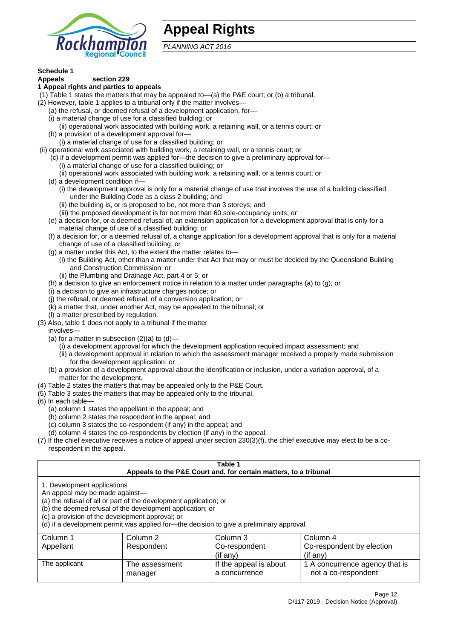

# **Appeal Rights**

*PLANNING ACT 2016*

# **Schedule 1**

#### **Appeals section 229 1 Appeal rights and parties to appeals**

- (1) Table 1 states the matters that may be appealed to—(a) the P&E court; or (b) a tribunal.
- (2) However, table 1 applies to a tribunal only if the matter involves—
	- (a) the refusal, or deemed refusal of a development application, for—
	- (i) a material change of use for a classified building; or
	- (ii) operational work associated with building work, a retaining wall, or a tennis court; or
	- (b) a provision of a development approval for—
	- (i) a material change of use for a classified building; or
- (ii) operational work associated with building work, a retaining wall, or a tennis court; or
	- (c) if a development permit was applied for—the decision to give a preliminary approval for—
		- (i) a material change of use for a classified building; or
	- (ii) operational work associated with building work, a retaining wall, or a tennis court; or
	- (d) a development condition if—
		- (i) the development approval is only for a material change of use that involves the use of a building classified under the Building Code as a class 2 building; and
		- (ii) the building is, or is proposed to be, not more than 3 storeys; and
		- (iii) the proposed development is for not more than 60 sole-occupancy units; or
	- (e) a decision for, or a deemed refusal of, an extension application for a development approval that is only for a material change of use of a classified building; or
	- (f) a decision for, or a deemed refusal of, a change application for a development approval that is only for a material change of use of a classified building; or
	- (g) a matter under this Act, to the extent the matter relates to—
		- (i) the Building Act, other than a matter under that Act that may or must be decided by the Queensland Building and Construction Commission; or
		- (ii) the Plumbing and Drainage Act, part 4 or 5; or
	- (h) a decision to give an enforcement notice in relation to a matter under paragraphs (a) to (g); or
	- (i) a decision to give an infrastructure charges notice; or
	- (j) the refusal, or deemed refusal, of a conversion application; or
	- (k) a matter that, under another Act, may be appealed to the tribunal; or
	- (l) a matter prescribed by regulation.
- (3) Also, table 1 does not apply to a tribunal if the matter

involves—

- (a) for a matter in subsection  $(2)(a)$  to  $(d)$ 
	- (i) a development approval for which the development application required impact assessment; and
	- (ii) a development approval in relation to which the assessment manager received a properly made submission for the development application; or
- (b) a provision of a development approval about the identification or inclusion, under a variation approval, of a matter for the development.
- (4) Table 2 states the matters that may be appealed only to the P&E Court.
- (5) Table 3 states the matters that may be appealed only to the tribunal.
- (6) In each table—
	- (a) column 1 states the appellant in the appeal; and
	- (b) column 2 states the respondent in the appeal; and
	- (c) column 3 states the co-respondent (if any) in the appeal; and
	- (d) column 4 states the co-respondents by election (if any) in the appeal.
- (7) If the chief executive receives a notice of appeal under section 230(3)(f), the chief executive may elect to be a corespondent in the appeal.

| Table 1<br>Appeals to the P&E Court and, for certain matters, to a tribunal                                                                                                                                                                                                                                                                    |                           |                                         |                                                       |  |
|------------------------------------------------------------------------------------------------------------------------------------------------------------------------------------------------------------------------------------------------------------------------------------------------------------------------------------------------|---------------------------|-----------------------------------------|-------------------------------------------------------|--|
| 1. Development applications<br>An appeal may be made against-<br>(a) the refusal of all or part of the development application; or<br>(b) the deemed refusal of the development application; or<br>(c) a provision of the development approval; or<br>(d) if a development permit was applied for-the decision to give a preliminary approval. |                           |                                         |                                                       |  |
| Column 3<br>Column 2<br>Column 4<br>Column 1<br>Appellant<br>Co-respondent<br>Co-respondent by election<br>Respondent<br>(if any)<br>$(i$ f any)                                                                                                                                                                                               |                           |                                         |                                                       |  |
| The applicant                                                                                                                                                                                                                                                                                                                                  | The assessment<br>manager | If the appeal is about<br>a concurrence | 1 A concurrence agency that is<br>not a co-respondent |  |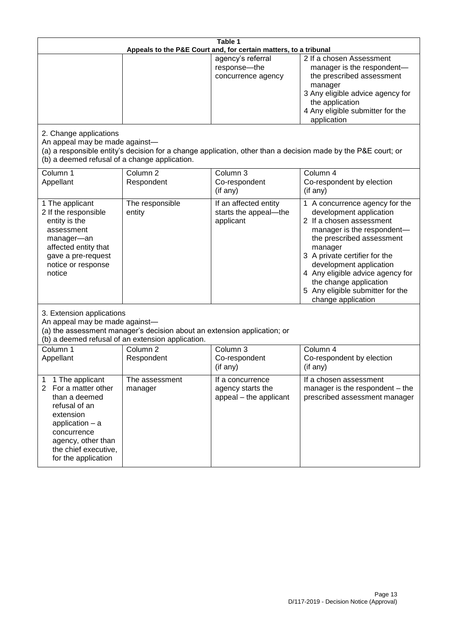| Table 1<br>Appeals to the P&E Court and, for certain matters, to a tribunal                                                                                                                                          |                                   |                                                                 |                                                                                                                                                                                                                                                                                                                                                 |  |
|----------------------------------------------------------------------------------------------------------------------------------------------------------------------------------------------------------------------|-----------------------------------|-----------------------------------------------------------------|-------------------------------------------------------------------------------------------------------------------------------------------------------------------------------------------------------------------------------------------------------------------------------------------------------------------------------------------------|--|
|                                                                                                                                                                                                                      |                                   | agency's referral<br>response-the<br>concurrence agency         | 2 If a chosen Assessment<br>manager is the respondent-<br>the prescribed assessment<br>manager<br>3 Any eligible advice agency for<br>the application<br>4 Any eligible submitter for the<br>application                                                                                                                                        |  |
| 2. Change applications<br>An appeal may be made against-<br>(b) a deemed refusal of a change application.                                                                                                            |                                   |                                                                 | (a) a responsible entity's decision for a change application, other than a decision made by the P&E court; or                                                                                                                                                                                                                                   |  |
| Column 1<br>Appellant                                                                                                                                                                                                | Column <sub>2</sub><br>Respondent | Column 3<br>Co-respondent<br>(if any)                           | Column 4<br>Co-respondent by election<br>(if any)                                                                                                                                                                                                                                                                                               |  |
| 1 The applicant<br>2 If the responsible<br>entity is the<br>assessment<br>manager-an<br>affected entity that<br>gave a pre-request<br>notice or response<br>notice                                                   | The responsible<br>entity         | If an affected entity<br>starts the appeal-the<br>applicant     | 1 A concurrence agency for the<br>development application<br>2 If a chosen assessment<br>manager is the respondent-<br>the prescribed assessment<br>manager<br>3 A private certifier for the<br>development application<br>4 Any eligible advice agency for<br>the change application<br>5 Any eligible submitter for the<br>change application |  |
| 3. Extension applications<br>An appeal may be made against-<br>(a) the assessment manager's decision about an extension application; or<br>(b) a deemed refusal of an extension application.                         |                                   |                                                                 |                                                                                                                                                                                                                                                                                                                                                 |  |
| Column 1<br>Appellant                                                                                                                                                                                                | Column <sub>2</sub><br>Respondent | Column 3<br>Co-respondent<br>(if any)                           | Column 4<br>Co-respondent by election<br>(if any)                                                                                                                                                                                                                                                                                               |  |
| 1 The applicant<br>1<br>$\overline{2}$<br>For a matter other<br>than a deemed<br>refusal of an<br>extension<br>application $-$ a<br>concurrence<br>agency, other than<br>the chief executive,<br>for the application | The assessment<br>manager         | If a concurrence<br>agency starts the<br>appeal - the applicant | If a chosen assessment<br>manager is the respondent – the<br>prescribed assessment manager                                                                                                                                                                                                                                                      |  |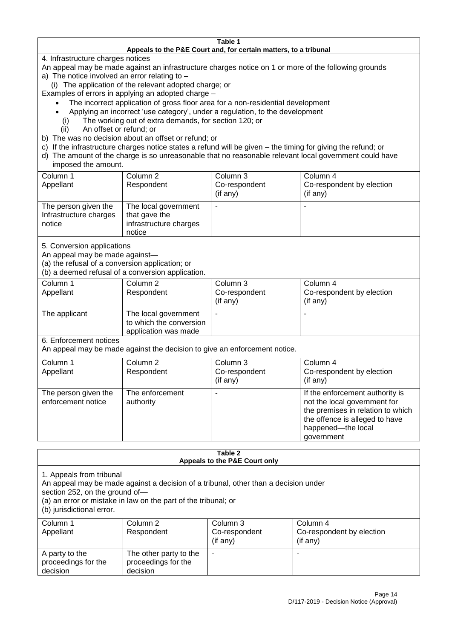#### **Table 1 Appeals to the P&E Court and, for certain matters, to a tribunal**

4. Infrastructure charges notices

- An appeal may be made against an infrastructure charges notice on 1 or more of the following grounds
- a) The notice involved an error relating to
	- (i) The application of the relevant adopted charge; or
- Examples of errors in applying an adopted charge
	- The incorrect application of gross floor area for a non-residential development
	- Applying an incorrect 'use category', under a regulation, to the development
	- (i) The working out of extra demands, for section 120; or
	- (ii) An offset or refund; or
- b) The was no decision about an offset or refund; or
- c) If the infrastructure charges notice states a refund will be given the timing for giving the refund; or
- d) The amount of the charge is so unreasonable that no reasonable relevant local government could have

## imposed the amount.

| Column 1<br>Appellant                                    | Column 2<br>Respondent                                                    | Column 3<br>Co-respondent<br>$($ if any $)$ | Column 4<br>Co-respondent by election<br>$($ if any $)$ |
|----------------------------------------------------------|---------------------------------------------------------------------------|---------------------------------------------|---------------------------------------------------------|
| The person given the<br>Infrastructure charges<br>notice | The local government<br>that gave the<br>infrastructure charges<br>notice |                                             |                                                         |

5. Conversion applications

An appeal may be made against—

(a) the refusal of a conversion application; or

(b) a deemed refusal of a conversion application.

| Column 1      | Column 2                | Column 3       | Column 4                  |
|---------------|-------------------------|----------------|---------------------------|
| Appellant     | Respondent              | Co-respondent  | Co-respondent by election |
|               |                         | $($ if any $)$ | $($ if any $)$            |
| The applicant | The local government    |                |                           |
|               | to which the conversion |                |                           |
|               | application was made    |                |                           |

6. Enforcement notices

An appeal may be made against the decision to give an enforcement notice.

| Column 1<br>Appellant                      | Column 2<br>Respondent       | Column 3<br>Co-respondent<br>(if any) | Column 4<br>Co-respondent by election<br>(if any)                                                                                                                          |
|--------------------------------------------|------------------------------|---------------------------------------|----------------------------------------------------------------------------------------------------------------------------------------------------------------------------|
| The person given the<br>enforcement notice | The enforcement<br>authority |                                       | If the enforcement authority is<br>not the local government for<br>the premises in relation to which<br>the offence is alleged to have<br>happened-the local<br>government |

#### **Table 2 Appeals to the P&E Court only**

1. Appeals from tribunal

An appeal may be made against a decision of a tribunal, other than a decision under

section 252, on the ground of—

(a) an error or mistake in law on the part of the tribunal; or

(b) jurisdictional error.

| Column 1<br>Appellant                             | Column 2<br>Respondent                                    | Column 3<br>Co-respondent<br>$($ if any $)$ | Column 4<br>Co-respondent by election<br>$($ if any $)$ |
|---------------------------------------------------|-----------------------------------------------------------|---------------------------------------------|---------------------------------------------------------|
| A party to the<br>proceedings for the<br>decision | The other party to the<br>proceedings for the<br>decision | ٠                                           |                                                         |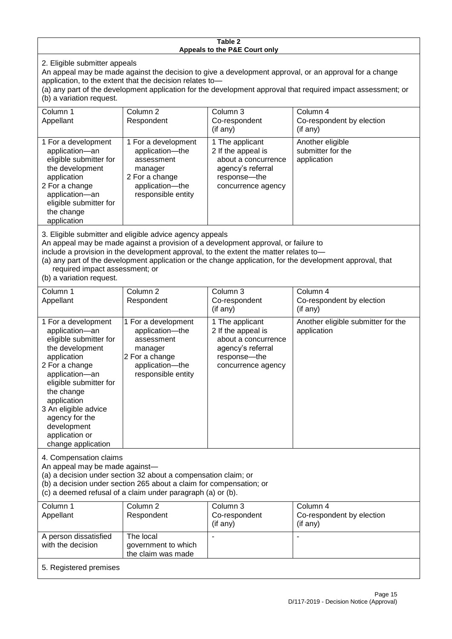#### **Table 2 Appeals to the P&E Court only**

2. Eligible submitter appeals

An appeal may be made against the decision to give a development approval, or an approval for a change application, to the extent that the decision relates to—

(a) any part of the development application for the development approval that required impact assessment; or (b) a variation request.

| Column 1<br>Appellant                                                                                                                                                                                                                                                                                                                                                                                              | Column <sub>2</sub><br>Respondent                                                                                          | Column 3<br>Co-respondent<br>(if any)                                                                                   | Column 4<br>Co-respondent by election<br>(if any)    |  |
|--------------------------------------------------------------------------------------------------------------------------------------------------------------------------------------------------------------------------------------------------------------------------------------------------------------------------------------------------------------------------------------------------------------------|----------------------------------------------------------------------------------------------------------------------------|-------------------------------------------------------------------------------------------------------------------------|------------------------------------------------------|--|
| 1 For a development<br>application-an<br>eligible submitter for<br>the development<br>application<br>2 For a change<br>application-an<br>eligible submitter for<br>the change<br>application                                                                                                                                                                                                                       | 1 For a development<br>application-the<br>assessment<br>manager<br>2 For a change<br>application-the<br>responsible entity | 1 The applicant<br>2 If the appeal is<br>about a concurrence<br>agency's referral<br>response-the<br>concurrence agency | Another eligible<br>submitter for the<br>application |  |
| 3. Eligible submitter and eligible advice agency appeals<br>An appeal may be made against a provision of a development approval, or failure to<br>include a provision in the development approval, to the extent the matter relates to-<br>(a) any part of the development application or the change application, for the development approval, that<br>required impact assessment; or<br>(b) a variation request. |                                                                                                                            |                                                                                                                         |                                                      |  |
| Column 1<br>Appellant                                                                                                                                                                                                                                                                                                                                                                                              | Column <sub>2</sub><br>Respondent                                                                                          | Column 3<br>Co-respondent<br>(if any)                                                                                   | Column 4<br>Co-respondent by election<br>(if any)    |  |

|                                                                                                                                                                                                                                                                                               |                                                                                                                            | (if any)                                                                                                                  | (if any)                                          |
|-----------------------------------------------------------------------------------------------------------------------------------------------------------------------------------------------------------------------------------------------------------------------------------------------|----------------------------------------------------------------------------------------------------------------------------|---------------------------------------------------------------------------------------------------------------------------|---------------------------------------------------|
| 1 For a development<br>application-an<br>eligible submitter for<br>the development<br>application<br>2 For a change<br>application-an<br>eligible submitter for<br>the change<br>application<br>3 An eligible advice<br>agency for the<br>development<br>application or<br>change application | 1 For a development<br>application-the<br>assessment<br>manager<br>2 For a change<br>application-the<br>responsible entity | 1 The applicant<br>2 If the appeal is<br>about a concurrence<br>agency's referral<br>response---the<br>concurrence agency | Another eligible submitter for the<br>application |

4. Compensation claims

An appeal may be made against—

(a) a decision under section 32 about a compensation claim; or

(b) a decision under section 265 about a claim for compensation; or

(c) a deemed refusal of a claim under paragraph (a) or (b).

| Column 1               | Column 2            | Column 3      | Column 4                  |
|------------------------|---------------------|---------------|---------------------------|
| Appellant              | Respondent          | Co-respondent | Co-respondent by election |
|                        |                     | (if any)      | (if any)                  |
| A person dissatisfied  | The local           |               |                           |
| with the decision      | government to which |               |                           |
|                        | the claim was made  |               |                           |
| 5. Registered premises |                     |               |                           |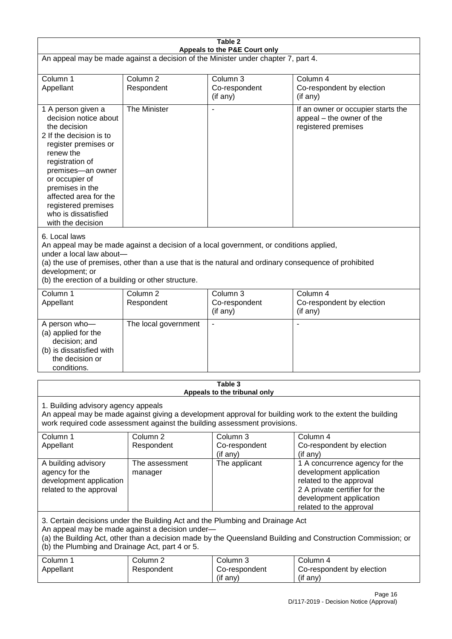|                                                                                                                                                                                                                                                                                                      | Table 2                                                                                                                                                                                                                                                                          |                                                  |                                                                                                                                                                             |  |  |
|------------------------------------------------------------------------------------------------------------------------------------------------------------------------------------------------------------------------------------------------------------------------------------------------------|----------------------------------------------------------------------------------------------------------------------------------------------------------------------------------------------------------------------------------------------------------------------------------|--------------------------------------------------|-----------------------------------------------------------------------------------------------------------------------------------------------------------------------------|--|--|
| Appeals to the P&E Court only<br>An appeal may be made against a decision of the Minister under chapter 7, part 4.                                                                                                                                                                                   |                                                                                                                                                                                                                                                                                  |                                                  |                                                                                                                                                                             |  |  |
| Column 1<br>Appellant                                                                                                                                                                                                                                                                                | Column <sub>2</sub><br>Respondent                                                                                                                                                                                                                                                | Column 3<br>Co-respondent<br>(if any)            | Column 4<br>Co-respondent by election<br>(if any)                                                                                                                           |  |  |
| 1 A person given a<br>decision notice about<br>the decision<br>2 If the decision is to<br>register premises or<br>renew the<br>registration of<br>premises-an owner<br>or occupier of<br>premises in the<br>affected area for the<br>registered premises<br>who is dissatisfied<br>with the decision | The Minister                                                                                                                                                                                                                                                                     | $\overline{\phantom{a}}$                         | If an owner or occupier starts the<br>appeal – the owner of the<br>registered premises                                                                                      |  |  |
| 6. Local laws<br>development; or                                                                                                                                                                                                                                                                     | An appeal may be made against a decision of a local government, or conditions applied,<br>under a local law about-<br>(a) the use of premises, other than a use that is the natural and ordinary consequence of prohibited<br>(b) the erection of a building or other structure. |                                                  |                                                                                                                                                                             |  |  |
| Column 1<br>Appellant                                                                                                                                                                                                                                                                                | Column <sub>2</sub><br>Respondent                                                                                                                                                                                                                                                | Column 3<br>Co-respondent<br>(if any)            | Column 4<br>Co-respondent by election<br>(if any)                                                                                                                           |  |  |
| A person who-<br>(a) applied for the<br>decision; and<br>(b) is dissatisfied with<br>the decision or<br>conditions.                                                                                                                                                                                  | The local government                                                                                                                                                                                                                                                             | $\blacksquare$                                   |                                                                                                                                                                             |  |  |
|                                                                                                                                                                                                                                                                                                      |                                                                                                                                                                                                                                                                                  | Table 3<br>Appeals to the tribunal only          |                                                                                                                                                                             |  |  |
| 1. Building advisory agency appeals<br>An appeal may be made against giving a development approval for building work to the extent the building<br>work required code assessment against the building assessment provisions.                                                                         |                                                                                                                                                                                                                                                                                  |                                                  |                                                                                                                                                                             |  |  |
| Column 1<br>Appellant                                                                                                                                                                                                                                                                                | Column <sub>2</sub><br>Respondent                                                                                                                                                                                                                                                | Column <sub>3</sub><br>Co-respondent<br>(if any) | Column 4<br>Co-respondent by election<br>(if any)                                                                                                                           |  |  |
| A building advisory<br>agency for the<br>development application<br>related to the approval                                                                                                                                                                                                          | The assessment<br>manager                                                                                                                                                                                                                                                        | The applicant                                    | 1 A concurrence agency for the<br>development application<br>related to the approval<br>2 A private certifier for the<br>development application<br>related to the approval |  |  |
| 3. Certain decisions under the Building Act and the Plumbing and Drainage Act<br>An appeal may be made against a decision under-<br>(a) the Building Act, other than a decision made by the Queensland Building and Construction Commission; or<br>(b) the Plumbing and Drainage Act, part 4 or 5.   |                                                                                                                                                                                                                                                                                  |                                                  |                                                                                                                                                                             |  |  |
| Column 1<br>Appellant                                                                                                                                                                                                                                                                                | Column <sub>2</sub><br>Respondent                                                                                                                                                                                                                                                | Column 3<br>Co-respondent<br>(if any)            | Column 4<br>Co-respondent by election<br>(if any)                                                                                                                           |  |  |